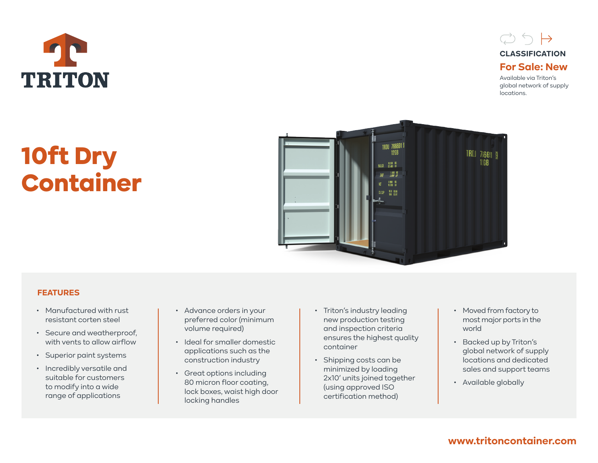



Available via Triton's global network of supply locations.

# 10ft Dry Container



## **FEATURES**

- Manufactured with rust resistant corten steel
- Secure and weatherproof, with vents to allow airflow
- Superior paint systems
- Incredibly versatile and suitable for customers to modify into a wide range of applications
- Advance orders in your preferred color (minimum volume required)
- Ideal for smaller domestic applications such as the construction industry
- Great options including 80 micron floor coating, lock boxes, waist high door locking handles
- Triton's industry leading new production testing and inspection criteria ensures the highest quality container
- Shipping costs can be minimized by loading 2x10' units joined together (using approved ISO certification method)
- Moved from factory to most major ports in the world
- Backed up by Triton's global network of supply locations and dedicated sales and support teams
- Available globally

# **www.tritoncontainer.com**